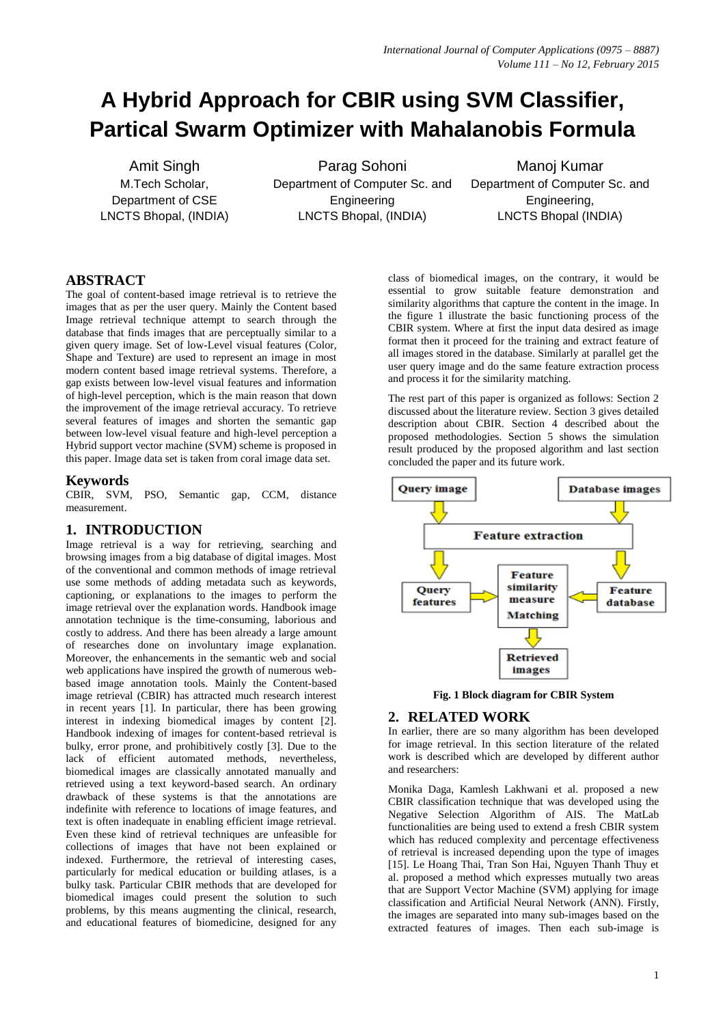# **A Hybrid Approach for CBIR using SVM Classifier, Partical Swarm Optimizer with Mahalanobis Formula**

Amit Singh M.Tech Scholar, Department of CSE LNCTS Bhopal, (INDIA)

Parag Sohoni Department of Computer Sc. and Engineering LNCTS Bhopal, (INDIA)

Manoj Kumar Department of Computer Sc. and Engineering, LNCTS Bhopal (INDIA)

# **ABSTRACT**

The goal of content-based image retrieval is to retrieve the images that as per the user query. Mainly the Content based Image retrieval technique attempt to search through the database that finds images that are perceptually similar to a given query image. Set of low-Level visual features (Color, Shape and Texture) are used to represent an image in most modern content based image retrieval systems. Therefore, a gap exists between low-level visual features and information of high-level perception, which is the main reason that down the improvement of the image retrieval accuracy. To retrieve several features of images and shorten the semantic gap between low-level visual feature and high-level perception a Hybrid support vector machine (SVM) scheme is proposed in this paper. Image data set is taken from coral image data set.

## **Keywords**

CBIR, SVM, PSO, Semantic gap, CCM, distance measurement.

# **1. INTRODUCTION**

Image retrieval is a way for retrieving, searching and browsing images from a big database of digital images. Most of the conventional and common methods of image retrieval use some methods of adding metadata such as keywords, captioning, or explanations to the images to perform the image retrieval over the explanation words. Handbook image annotation technique is the time-consuming, laborious and costly to address. And there has been already a large amount of researches done on involuntary image explanation. Moreover, the enhancements in the semantic web and social web applications have inspired the growth of numerous webbased image annotation tools. Mainly the Content-based image retrieval (CBIR) has attracted much research interest in recent years [1]. In particular, there has been growing interest in indexing biomedical images by content [2]. Handbook indexing of images for content-based retrieval is bulky, error prone, and prohibitively costly [3]. Due to the lack of efficient automated methods, nevertheless, biomedical images are classically annotated manually and retrieved using a text keyword-based search. An ordinary drawback of these systems is that the annotations are indefinite with reference to locations of image features, and text is often inadequate in enabling efficient image retrieval. Even these kind of retrieval techniques are unfeasible for collections of images that have not been explained or indexed. Furthermore, the retrieval of interesting cases, particularly for medical education or building atlases, is a bulky task. Particular CBIR methods that are developed for biomedical images could present the solution to such problems, by this means augmenting the clinical, research, and educational features of biomedicine, designed for any

class of biomedical images, on the contrary, it would be essential to grow suitable feature demonstration and similarity algorithms that capture the content in the image. In the figure 1 illustrate the basic functioning process of the CBIR system. Where at first the input data desired as image format then it proceed for the training and extract feature of all images stored in the database. Similarly at parallel get the user query image and do the same feature extraction process and process it for the similarity matching.

The rest part of this paper is organized as follows: Section 2 discussed about the literature review. Section 3 gives detailed description about CBIR. Section 4 described about the proposed methodologies. Section 5 shows the simulation result produced by the proposed algorithm and last section concluded the paper and its future work.



**Fig. 1 Block diagram for CBIR System**

## **2. RELATED WORK**

In earlier, there are so many algorithm has been developed for image retrieval. In this section literature of the related work is described which are developed by different author and researchers:

Monika Daga, Kamlesh Lakhwani et al. proposed a new CBIR classification technique that was developed using the Negative Selection Algorithm of AIS. The MatLab functionalities are being used to extend a fresh CBIR system which has reduced complexity and percentage effectiveness of retrieval is increased depending upon the type of images [15]. Le Hoang Thai, Tran Son Hai, Nguyen Thanh Thuy et al. proposed a method which expresses mutually two areas that are Support Vector Machine (SVM) applying for image classification and Artificial Neural Network (ANN). Firstly, the images are separated into many sub-images based on the extracted features of images. Then each sub-image is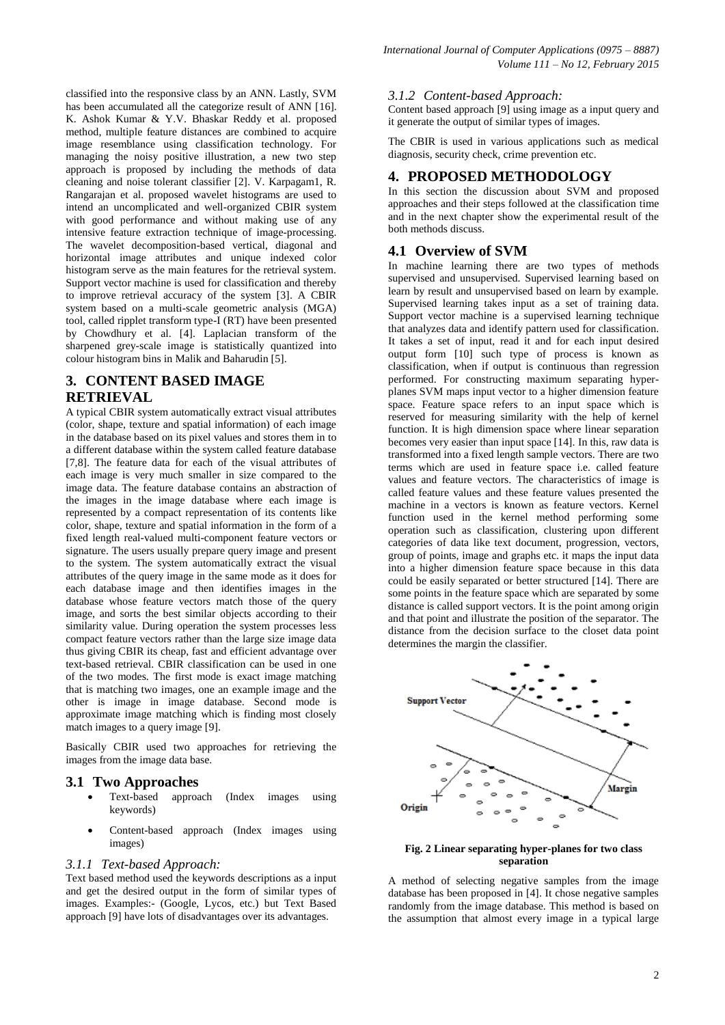classified into the responsive class by an ANN. Lastly, SVM has been accumulated all the categorize result of ANN [16]. K. Ashok Kumar & Y.V. Bhaskar Reddy et al. proposed method, multiple feature distances are combined to acquire image resemblance using classification technology. For managing the noisy positive illustration, a new two step approach is proposed by including the methods of data cleaning and noise tolerant classifier [2]. V. Karpagam1, R. Rangarajan et al. proposed wavelet histograms are used to intend an uncomplicated and well-organized CBIR system with good performance and without making use of any intensive feature extraction technique of image-processing. The wavelet decomposition-based vertical, diagonal and horizontal image attributes and unique indexed color histogram serve as the main features for the retrieval system. Support vector machine is used for classification and thereby to improve retrieval accuracy of the system [3]. A CBIR system based on a multi-scale geometric analysis (MGA) tool, called ripplet transform type-I (RT) have been presented by Chowdhury et al. [4]. Laplacian transform of the sharpened grey-scale image is statistically quantized into colour histogram bins in Malik and Baharudin [5].

# **3. CONTENT BASED IMAGE RETRIEVAL**

A typical CBIR system automatically extract visual attributes (color, shape, texture and spatial information) of each image in the database based on its pixel values and stores them in to a different database within the system called feature database [7,8]. The feature data for each of the visual attributes of each image is very much smaller in size compared to the image data. The feature database contains an abstraction of the images in the image database where each image is represented by a compact representation of its contents like color, shape, texture and spatial information in the form of a fixed length real-valued multi-component feature vectors or signature. The users usually prepare query image and present to the system. The system automatically extract the visual attributes of the query image in the same mode as it does for each database image and then identifies images in the database whose feature vectors match those of the query image, and sorts the best similar objects according to their similarity value. During operation the system processes less compact feature vectors rather than the large size image data thus giving CBIR its cheap, fast and efficient advantage over text-based retrieval. CBIR classification can be used in one of the two modes. The first mode is exact image matching that is matching two images, one an example image and the other is image in image database. Second mode is approximate image matching which is finding most closely match images to a query image [9].

Basically CBIR used two approaches for retrieving the images from the image data base.

## **3.1 Two Approaches**

- Text-based approach (Index images using keywords)
- Content-based approach (Index images using images)

#### *3.1.1 Text-based Approach:*

Text based method used the keywords descriptions as a input and get the desired output in the form of similar types of images. Examples:- (Google, Lycos, etc.) but Text Based approach [9] have lots of disadvantages over its advantages.

#### *3.1.2 Content-based Approach:*

Content based approach [9] using image as a input query and it generate the output of similar types of images.

The CBIR is used in various applications such as medical diagnosis, security check, crime prevention etc.

#### **4. PROPOSED METHODOLOGY**

In this section the discussion about SVM and proposed approaches and their steps followed at the classification time and in the next chapter show the experimental result of the both methods discuss.

## **4.1 Overview of SVM**

In machine learning there are two types of methods supervised and unsupervised. Supervised learning based on learn by result and unsupervised based on learn by example. Supervised learning takes input as a set of training data. Support vector machine is a supervised learning technique that analyzes data and identify pattern used for classification. It takes a set of input, read it and for each input desired output form [10] such type of process is known as classification, when if output is continuous than regression performed. For constructing maximum separating hyperplanes SVM maps input vector to a higher dimension feature space. Feature space refers to an input space which is reserved for measuring similarity with the help of kernel function. It is high dimension space where linear separation becomes very easier than input space [14]. In this, raw data is transformed into a fixed length sample vectors. There are two terms which are used in feature space i.e. called feature values and feature vectors. The characteristics of image is called feature values and these feature values presented the machine in a vectors is known as feature vectors. Kernel function used in the kernel method performing some operation such as classification, clustering upon different categories of data like text document, progression, vectors, group of points, image and graphs etc. it maps the input data into a higher dimension feature space because in this data could be easily separated or better structured [14]. There are some points in the feature space which are separated by some distance is called support vectors. It is the point among origin and that point and illustrate the position of the separator. The distance from the decision surface to the closet data point determines the margin the classifier.



**Fig. 2 Linear separating hyper-planes for two class separation**

A method of selecting negative samples from the image database has been proposed in [4]. It chose negative samples randomly from the image database. This method is based on the assumption that almost every image in a typical large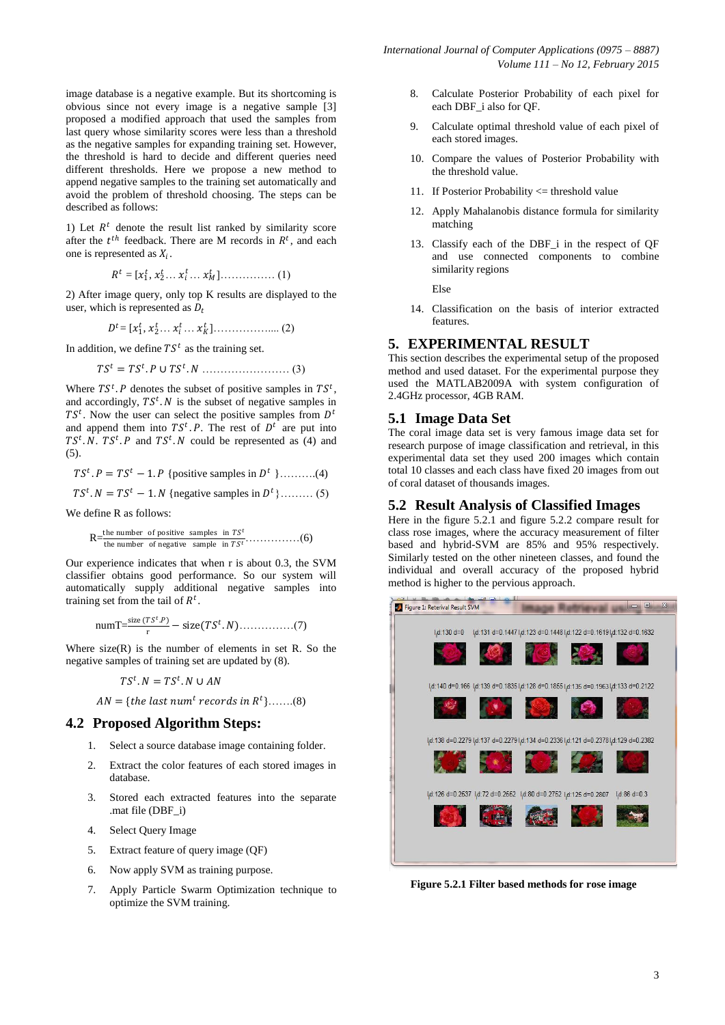image database is a negative example. But its shortcoming is obvious since not every image is a negative sample [3] proposed a modified approach that used the samples from last query whose similarity scores were less than a threshold as the negative samples for expanding training set. However, the threshold is hard to decide and different queries need different thresholds. Here we propose a new method to append negative samples to the training set automatically and avoid the problem of threshold choosing. The steps can be described as follows:

1) Let  $R<sup>t</sup>$  denote the result list ranked by similarity score after the  $t^{th}$  feedback. There are M records in  $R^t$ , and each one is represented as  $X_i$ .

$$
R^{t} = [x_1^{t}, x_2^{t}, \ldots x_i^{t}, \ldots x_M^{t}] \ldots \ldots \ldots \ldots (1)
$$

2) After image query, only top K results are displayed to the user, which is represented as  $D_t$ 

 = [<sup>1</sup> , <sup>2</sup> … … ]…………….... (2)

In addition, we define  $TS<sup>t</sup>$  as the training set.

$$
TSt = TSt. P \cup TSt. N
$$
................. (3)

Where  $TS<sup>t</sup>$ . P denotes the subset of positive samples in  $TS<sup>t</sup>$ , and accordingly,  $TS<sup>t</sup>$ . N is the subset of negative samples in  $TS<sup>t</sup>$ . Now the user can select the positive samples from  $D<sup>t</sup>$ and append them into  $TS<sup>t</sup>$ . P. The rest of  $D<sup>t</sup>$  are put into TS<sup>t</sup>. N. TS<sup>t</sup>. P and TS<sup>t</sup>. N could be represented as (4) and (5).

$$
TSt. P = TSt - 1.P
$$
 {positive samples in  $Dt$  }..........(4)

$$
TSt. N = TSt - 1. N {negative samples in Dt}........ (5)
$$

We define R as follows:

$$
R = \frac{\text{the number of positive samples in } TS^t}{\text{the number of negative sample in } TS^t} \tag{6}
$$

Our experience indicates that when r is about 0.3, the SVM classifier obtains good performance. So our system will automatically supply additional negative samples into training set from the tail of  $R^t$ .

$$
numT=\frac{\text{size}(TS^t.P)}{r}-\text{size}(TS^t.N)\dots(7)
$$

Where size(R) is the number of elements in set R. So the negative samples of training set are updated by (8).

$$
TS^t.N = TS^t.N \cup AN
$$

 $AN = \{the\ last\ num^t\ records\ in\ R^t\}$ .......(8)

#### **4.2 Proposed Algorithm Steps:**

- 1. Select a source database image containing folder.
- 2. Extract the color features of each stored images in database.
- 3. Stored each extracted features into the separate .mat file (DBF\_i)
- 4. Select Query Image
- 5. Extract feature of query image (QF)
- 6. Now apply SVM as training purpose.
- 7. Apply Particle Swarm Optimization technique to optimize the SVM training.
- 8. Calculate Posterior Probability of each pixel for each DBF\_i also for QF.
- 9. Calculate optimal threshold value of each pixel of each stored images.
- 10. Compare the values of Posterior Probability with the threshold value.
- 11. If Posterior Probability <= threshold value
- 12. Apply Mahalanobis distance formula for similarity matching
- 13. Classify each of the DBF\_i in the respect of QF and use connected components to combine similarity regions

Else

14. Classification on the basis of interior extracted features.

## **5. EXPERIMENTAL RESULT**

This section describes the experimental setup of the proposed method and used dataset. For the experimental purpose they used the MATLAB2009A with system configuration of 2.4GHz processor, 4GB RAM.

#### **5.1 Image Data Set**

The coral image data set is very famous image data set for research purpose of image classification and retrieval, in this experimental data set they used 200 images which contain total 10 classes and each class have fixed 20 images from out of coral dataset of thousands images.

#### **5.2 Result Analysis of Classified Images**

Here in the figure 5.2.1 and figure 5.2.2 compare result for class rose images, where the accuracy measurement of filter based and hybrid-SVM are 85% and 95% respectively. Similarly tested on the other nineteen classes, and found the individual and overall accuracy of the proposed hybrid method is higher to the pervious approach.



**Figure 5.2.1 Filter based methods for rose image**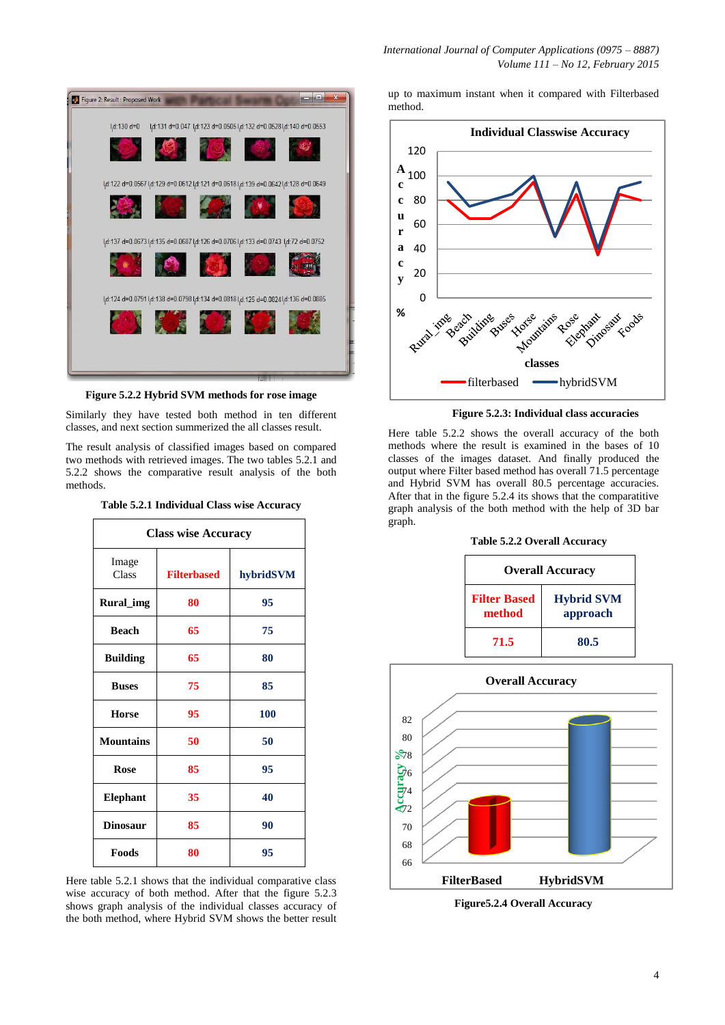

**Figure 5.2.2 Hybrid SVM methods for rose image** 

Similarly they have tested both method in ten different classes, and next section summerized the all classes result.

The result analysis of classified images based on compared two methods with retrieved images. The two tables 5.2.1 and 5.2.2 shows the comparative result analysis of the both methods.

**Table 5.2.1 Individual Class wise Accuracy**

| <b>Class wise Accuracy</b> |                    |           |
|----------------------------|--------------------|-----------|
| Image<br>Class             | <b>Filterbased</b> | hybridSVM |
| <b>Rural_img</b>           | 80                 | 95        |
| <b>Beach</b>               | 65                 | 75        |
| <b>Building</b>            | 65                 | 80        |
| <b>Buses</b>               | 75                 | 85        |
| <b>Horse</b>               | 95                 | 100       |
| <b>Mountains</b>           | 50                 | 50        |
| <b>Rose</b>                | 85                 | 95        |
| <b>Elephant</b>            | 35                 | 40        |
| <b>Dinosaur</b>            | 85                 | 90        |
| Foods                      | 80                 | 95        |

Here table 5.2.1 shows that the individual comparative class wise accuracy of both method. After that the figure 5.2.3 shows graph analysis of the individual classes accuracy of the both method, where Hybrid SVM shows the better result up to maximum instant when it compared with Filterbased method.



**Figure 5.2.3: Individual class accuracies**

Here table 5.2.2 shows the overall accuracy of the both methods where the result is examined in the bases of 10 classes of the images dataset. And finally produced the output where Filter based method has overall 71.5 percentage and Hybrid SVM has overall 80.5 percentage accuracies. After that in the figure 5.2.4 its shows that the comparatitive graph analysis of the both method with the help of 3D bar graph.







**Figure5.2.4 Overall Accuracy**